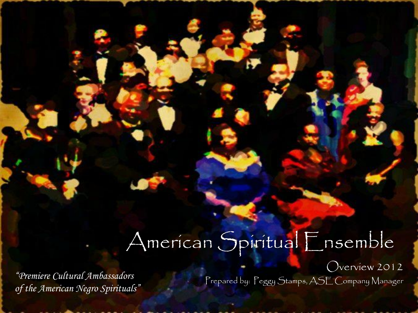#### American Spiritual Ensemble

*of the American Negro Spirituals"*

Overview 2012 Prepared by: Peggy Stamps, ASE Company Manager *"Premiere Cultural Ambassadors*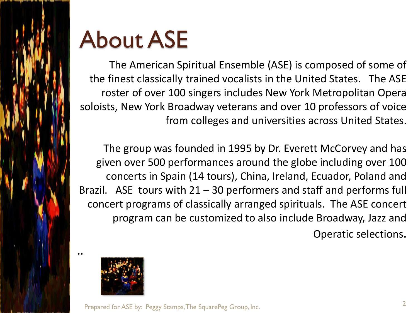

## About ASE

The American Spiritual Ensemble (ASE) is composed of some of the finest classically trained vocalists in the United States. The ASE roster of over 100 singers includes New York Metropolitan Opera soloists, New York Broadway veterans and over 10 professors of voice from colleges and universities across United States.

The group was founded in 1995 by Dr. Everett McCorvey and has given over 500 performances around the globe including over 100 concerts in Spain (14 tours), China, Ireland, Ecuador, Poland and Brazil. ASE tours with  $21 - 30$  performers and staff and performs full concert programs of classically arranged spirituals. The ASE concert program can be customized to also include Broadway, Jazz and Operatic selections.



Prepared for ASE by: Peggy Stamps, The SquarePeg Group, Inc.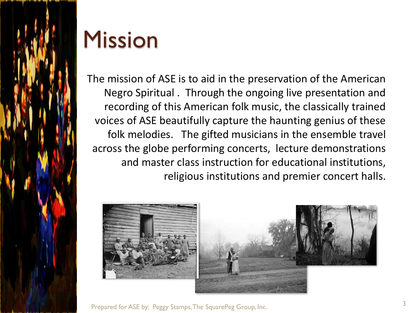

#### Mission

The mission of ASE is to aid in the preservation of the American Negro Spiritual . Through the ongoing live presentation and recording of this American folk music, the classically trained voices of ASE beautifully capture the haunting genius of these folk melodies. The gifted musicians in the ensemble travel across the globe performing concerts, lecture demonstrations and master class instruction for educational institutions, religious institutions and premier concert halls.



Prepared for ASE by: Peggy Stamps, The SquarePeg Group, Inc.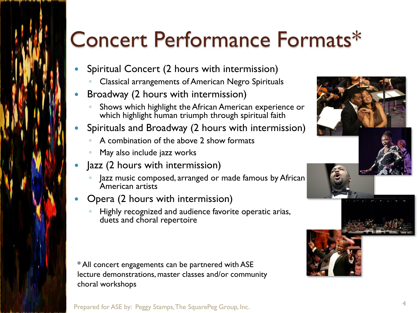## Concert Performance Formats\*

- Spiritual Concert (2 hours with intermission)
	- Classical arrangements of American Negro Spirituals
- Broadway (2 hours with intermission)
	- Shows which highlight the African American experience or which highlight human triumph through spiritual faith
- Spirituals and Broadway (2 hours with intermission)
	- A combination of the above 2 show formats
	- May also include jazz works
- Jazz (2 hours with intermission)
	- Jazz music composed, arranged or made famous by African American artists
- Opera (2 hours with intermission)
	- Highly recognized and audience favorite operatic arias, duets and choral repertoire

\* All concert engagements can be partnered with ASE lecture demonstrations, master classes and/or community choral workshops



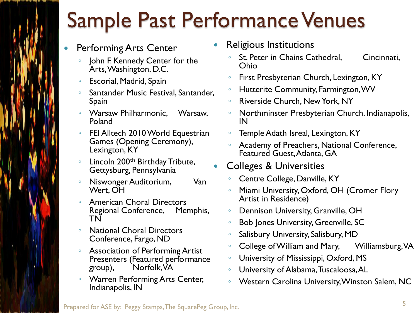#### Sample Past Performance Venues

- Performing Arts Center
	- John F. Kennedy Center for the Arts, Washington, D.C.
	- Escorial, Madrid, Spain
	- Santander Music Festival, Santander, Spain
	- Warsaw Philharmonic, Warsaw, Poland
	- FEI Alltech 2010 World Equestrian Games (Opening Ceremony), Lexington, KY
	- Lincoln 200th Birthday Tribute, Gettysburg, Pennsylvania
	- Niswonger Auditorium, Van Wert, OH
	- American Choral Directors<br>
	Regional Conference, Memphis, Regional Conference, TN
	- National Choral Directors Conference, Fargo, ND
	- Association of Performing Artist Presenters (Featured performance group), Norfolk, VA
	- Warren Performing Arts Center, Indianapolis, IN
- Religious Institutions
	- St. Peter in Chains Cathedral, Cincinnati, Ohio
	- First Presbyterian Church, Lexington, KY
	- Hutterite Community, Farmington, WV
	- Riverside Church, New York, NY
	- Northminster Presbyterian Church, Indianapolis, IN
	- Temple Adath Isreal, Lexington, KY
	- Academy of Preachers, National Conference, Featured Guest, Atlanta, GA
- Colleges & Universities
	- Centre College, Danville, KY
	- Miami University, Oxford, OH (Cromer Flory Artist in Residence)
	- Dennison University, Granville, OH
	- Bob Jones University, Greenville, SC
	- Salisbury University, Salisbury, MD
	- College of William and Mary, Milliamsburg, VA
	- University of Mississippi, Oxford, MS
	- University of Alabama, Tuscaloosa, AL
	- Western Carolina University, Winston Salem, NC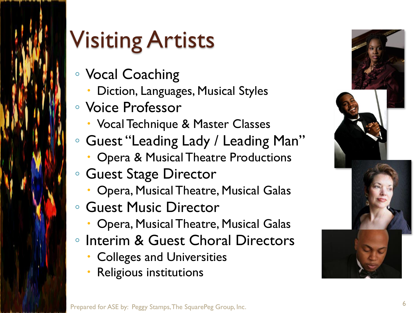

# Visiting Artists

- Vocal Coaching
	- Diction, Languages, Musical Styles
- Voice Professor
	- Vocal Technique & Master Classes
- Guest "Leading Lady / Leading Man"
	- Opera & Musical Theatre Productions
- Guest Stage Director
	- Opera, Musical Theatre, Musical Galas
- Guest Music Director
	- Opera, Musical Theatre, Musical Galas
- Interim & Guest Choral Directors
	- **Colleges and Universities**
	- Religious institutions

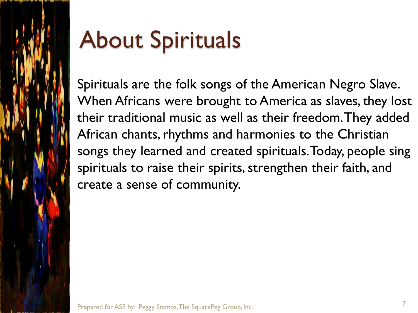

# About Spirituals

Spirituals are the folk songs of the American Negro Slave. When Africans were brought to America as slaves, they lost their traditional music as well as their freedom. They added African chants, rhythms and harmonies to the Christian songs they learned and created spirituals. Today, people sing spirituals to raise their spirits, strengthen their faith, and create a sense of community.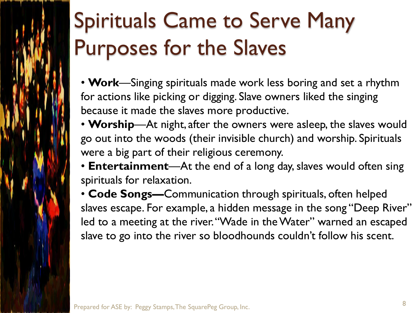# Spirituals Came to Serve Many Purposes for the Slaves

- **Work**—Singing spirituals made work less boring and set a rhythm for actions like picking or digging. Slave owners liked the singing because it made the slaves more productive.
- **Worship**—At night, after the owners were asleep, the slaves would go out into the woods (their invisible church) and worship. Spirituals were a big part of their religious ceremony.
- **Entertainment**—At the end of a long day, slaves would often sing spirituals for relaxation.
- **Code Songs—**Communication through spirituals, often helped slaves escape. For example, a hidden message in the song "Deep River" led to a meeting at the river. "Wade in the Water" warned an escaped slave to go into the river so bloodhounds couldn't follow his scent.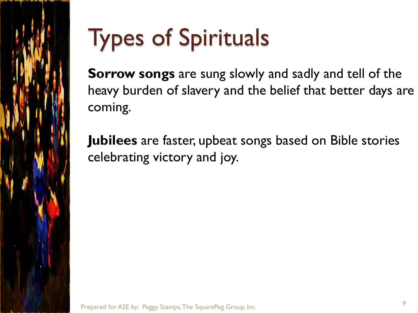

# Types of Spirituals

**Sorrow songs** are sung slowly and sadly and tell of the heavy burden of slavery and the belief that better days are coming.

**Jubilees** are faster, upbeat songs based on Bible stories celebrating victory and joy.